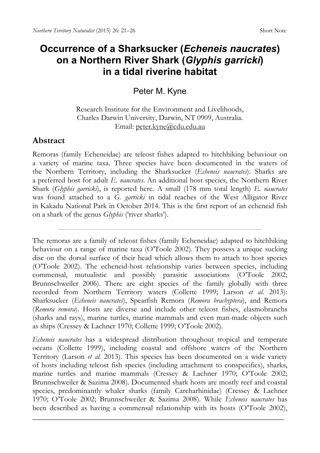## **Occurrence of a Sharksucker (***Echeneis naucrates***) on a Northern River Shark (***Glyphis garricki***) in a tidal riverine habitat**

Peter M. Kyne

Research Institute for the Environment and Livelihoods, Charles Darwin University, Darwin, NT 0909, Australia. Email: [peter.kyne@cdu.edu.au](mailto:peter.kyne@cdu.edu.au)

## **Abstract**

Remoras (family Echeneidae) are teleost fishes adapted to hitchhiking behaviour on a variety of marine taxa. Three species have been documented in the waters of the Northern Territory, including the Sharksucker (*Echeneis naucrates*). Sharks are a preferred host for adult *E. naucrates*. An additional host species, the Northern River Shark (*Glyphis garricki*), is reported here. A small (178 mm total length) *E. naucrates* was found attached to a *G. garricki* in tidal reaches of the West Alligator River in Kakadu National Park in October 2014. This is the first report of an echeneid fish on a shark of the genus *Glyphis* ('river sharks').

The remoras are a family of teleost fishes (family Echeneidae) adapted to hitchhiking behaviour on a range of marine taxa (O'Toole 2002). They possess a unique sucking disc on the dorsal surface of their head which allows them to attach to host species (O'Toole 2002). The echeneid-host relationship varies between species, including commensal, mutualistic and possibly parasitic associations (O'Toole 2002; Brunnschweiler 2006). There are eight species of the family globally with three recorded from Northern Territory waters (Collette 1999; Larson *et al.* 2013): Sharksucker (*Echeneis naucrates*), Spearfish Remora (*Remora brachyptera*), and Remora (*Remora remora*). Hosts are diverse and include other teleost fishes, elasmobranchs (sharks and rays), marine turtles, marine mammals and even man-made objects such as ships (Cressey & Lachner 1970; Collette 1999; O'Toole 2002).

*Echeneis naucrates* has a widespread distribution throughout tropical and temperate oceans (Collette 1999), including coastal and offshore waters of the Northern Territory (Larson *et al.* 2013). This species has been documented on a wide variety of hosts including teleost fish species (including attachment to conspecifics), sharks, marine turtles and marine mammals (Cressey & Lachner 1970; O'Toole 2002; Brunnschweiler & Sazima 2008). Documented shark hosts are mostly reef and coastal species, predominantly whaler sharks (family Carcharhinidae) (Cressey & Lachner 1970; O'Toole 2002; Brunnschweiler & Sazima 2008). While *Echeneis naucrates* has been described as having a commensal relationship with its hosts (O'Toole 2002),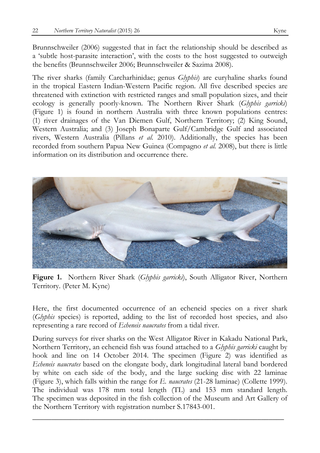Brunnschweiler (2006) suggested that in fact the relationship should be described as a 'subtle host-parasite interaction', with the costs to the host suggested to outweigh the benefits (Brunnschweiler 2006; Brunnschweiler & Sazima 2008).

The river sharks (family Carcharhinidae; genus *Glyphis*) are euryhaline sharks found in the tropical Eastern Indian-Western Pacific region. All five described species are threatened with extinction with restricted ranges and small population sizes, and their ecology is generally poorly-known. The Northern River Shark (*Glyphis garricki*) (Figure 1) is found in northern Australia with three known populations centres: (1) river drainages of the Van Diemen Gulf, Northern Territory; (2) King Sound, Western Australia; and (3) Joseph Bonaparte Gulf/Cambridge Gulf and associated rivers, Western Australia (Pillans *et al.* 2010). Additionally, the species has been recorded from southern Papua New Guinea (Compagno *et al.* 2008), but there is little information on its distribution and occurrence there.



**Figure 1.** Northern River Shark (*Glyphis garricki*), South Alligator River, Northern Territory. (Peter M. Kyne)

Here, the first documented occurrence of an echeneid species on a river shark (*Glyphis* species) is reported, adding to the list of recorded host species, and also representing a rare record of *Echeneis naucrates* from a tidal river.

During surveys for river sharks on the West Alligator River in Kakadu National Park, Northern Territory, an echeneid fish was found attached to a *Glyphis garricki* caught by hook and line on 14 October 2014. The specimen (Figure 2) was identified as *Echeneis naucrates* based on the elongate body, dark longitudinal lateral band bordered by white on each side of the body, and the large sucking disc with 22 laminae (Figure 3), which falls within the range for *E. naucrates* (21-28 laminae) (Collette 1999). The individual was 178 mm total length (TL) and 153 mm standard length. The specimen was deposited in the fish collection of the Museum and Art Gallery of the Northern Territory with registration number S.17843-001.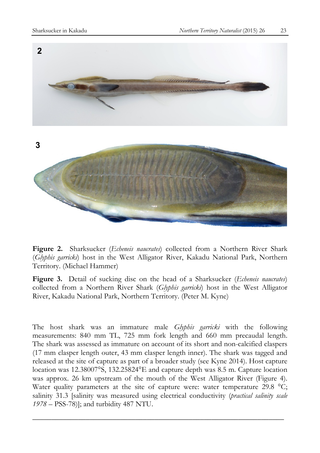

**Figure 2.** Sharksucker (*Echeneis naucrates*) collected from a Northern River Shark (*Glyphis garricki*) host in the West Alligator River, Kakadu National Park, Northern Territory. (Michael Hammer)

**Figure 3.** Detail of sucking disc on the head of a Sharksucker (*Echeneis naucrates*) collected from a Northern River Shark (*Glyphis garricki*) host in the West Alligator River, Kakadu National Park, Northern Territory. (Peter M. Kyne)

The host shark was an immature male *Glyphis garricki* with the following measurements: 840 mm TL, 725 mm fork length and 660 mm precaudal length. The shark was assessed as immature on account of its short and non-calcified claspers (17 mm clasper length outer, 43 mm clasper length inner). The shark was tagged and released at the site of capture as part of a broader study (see Kyne 2014). Host capture location was 12.38007°S, 132.25824°E and capture depth was 8.5 m. Capture location was approx. 26 km upstream of the mouth of the West Alligator River (Figure 4). Water quality parameters at the site of capture were: water temperature 29.8 °C; salinity 31.3 [salinity was measured using electrical conductivity (*practical salinity scale 1978* – PSS-78)]; and turbidity 487 NTU.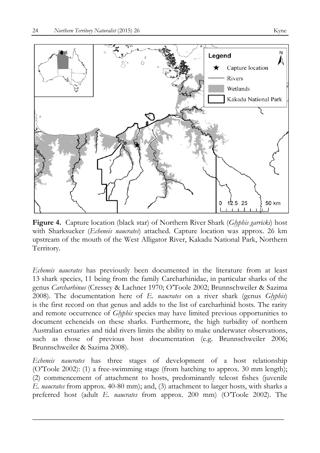

**Figure 4.** Capture location (black star) of Northern River Shark (*Glyphis garricki*) host with Sharksucker (*Echeneis naucrates*) attached. Capture location was approx. 26 km upstream of the mouth of the West Alligator River, Kakadu National Park, Northern Territory.

*Echeneis naucrates* has previously been documented in the literature from at least 13 shark species, 11 being from the family Carcharhinidae, in particular sharks of the genus *Carcharhinus* (Cressey & Lachner 1970; O'Toole 2002; Brunnschweiler & Sazima 2008). The documentation here of *E. naucrates* on a river shark (genus *Glyphis*) is the first record on that genus and adds to the list of carcharhinid hosts. The rarity and remote occurrence of *Glyphis* species may have limited previous opportunities to document echeneids on these sharks. Furthermore, the high turbidity of northern Australian estuaries and tidal rivers limits the ability to make underwater observations, such as those of previous host documentation (e.g. Brunnschweiler 2006; Brunnschweiler & Sazima 2008).

*Echeneis naucrates* has three stages of development of a host relationship (O'Toole 2002): (1) a free-swimming stage (from hatching to approx. 30 mm length); (2) commencement of attachment to hosts, predominantly teleost fishes (juvenile *E. naucrates* from approx. 40-80 mm); and, (3) attachment to larger hosts, with sharks a preferred host (adult *E. naucrates* from approx. 200 mm) (O'Toole 2002). The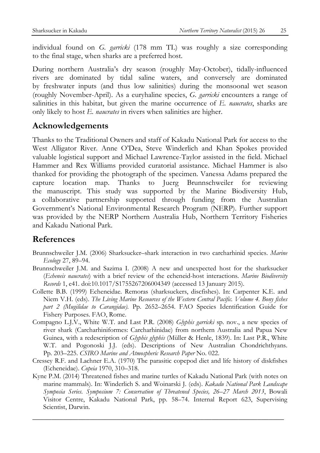individual found on *G. garricki* (178 mm TL) was roughly a size corresponding to the final stage, when sharks are a preferred host.

During northern Australia's dry season (roughly May-October), tidally-influenced rivers are dominated by tidal saline waters, and conversely are dominated by freshwater inputs (and thus low salinities) during the monsoonal wet season (roughly November-April). As a euryhaline species, *G. garricki* encounters a range of salinities in this habitat, but given the marine occurrence of *E. naucrates*, sharks are only likely to host *E. naucrates* in rivers when salinities are higher.

## **Acknowledgements**

Thanks to the Traditional Owners and staff of Kakadu National Park for access to the West Alligator River. Anne O'Dea, Steve Winderlich and Khan Spokes provided valuable logistical support and Michael Lawrence-Taylor assisted in the field. Michael Hammer and Rex Williams provided curatorial assistance. Michael Hammer is also thanked for providing the photograph of the specimen. Vanessa Adams prepared the capture location map. Thanks to Juerg Brunnschweiler for reviewing the manuscript. This study was supported by the Marine Biodiversity Hub, a collaborative partnership supported through funding from the Australian Government's National Environmental Research Program (NERP). Further support was provided by the NERP Northern Australia Hub, Northern Territory Fisheries and Kakadu National Park.

## **References**

- Brunnschweiler J.M. (2006) Sharksucker–shark interaction in two carcharhinid species. *Marine Ecology* 27, 89–94.
- Brunnschweiler J.M. and Sazima I. (2008) A new and unexpected host for the sharksucker (*Echeneis naucrates*) with a brief review of the echeneid-host interactions. *Marine Biodiversity Records* 1, e41. doi:10.1017/S1755267206004349 (accessed 13 January 2015).
- Collette B.B. (1999) Echeneidae. Remoras (sharksuckers, discfishes). In: Carpenter K.E. and Niem V.H. (eds). *The Living Marine Resources of the Western Central Pacific. Volume 4. Bony fishes part 2 (Mugilidae to Carangidae).* Pp. 2652–2654. FAO Species Identification Guide for Fishery Purposes. FAO, Rome.
- Compagno L.J.V., White W.T. and Last P.R. (2008) *Glyphis garricki* sp. nov., a new species of river shark (Carcharhiniformes: Carcharhinidae) from northern Australia and Papua New Guinea, with a redescription of *Glyphis glyphis* (Müller & Henle, 1839). In: Last P.R., White W.T. and Pogonoski J.J. (eds). Descriptions of New Australian Chondrichthyans. Pp. 203–225. *CSIRO Marine and Atmospheric Research Paper* No. 022.
- Cressey R.F. and Lachner E.A. (1970) The parasitic copepod diet and life history of diskfishes (Echeneidae). *Copeia* 1970, 310–318.
- Kyne P.M. (2014) Threatened fishes and marine turtles of Kakadu National Park (with notes on marine mammals). In: Winderlich S. and Woinarski J. (eds). *Kakadu National Park Landscape Symposia Series. Symposium 7: Conservation of Threatened Species, 26–27 March 2013*, Bowali Visitor Centre, Kakadu National Park, pp. 58–74. Internal Report 623, Supervising Scientist, Darwin.